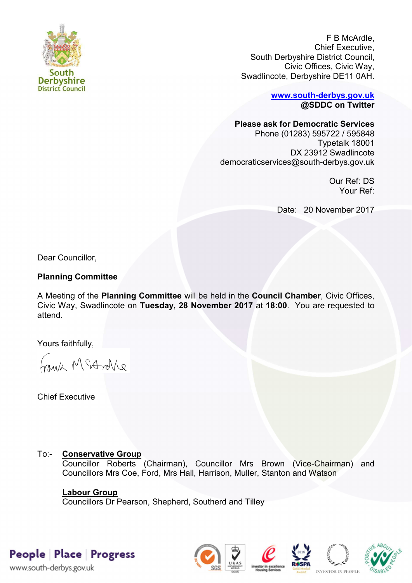

F B McArdle, Chief Executive, South Derbyshire District Council, Civic Offices, Civic Way, Swadlincote, Derbyshire DE11 0AH.

> **[www.south-derbys.gov.uk](http://www.south-derbys.gov.uk/) @SDDC on Twitter**

### **Please ask for Democratic Services**

Phone (01283) 595722 / 595848 Typetalk 18001 DX 23912 Swadlincote democraticservices@south-derbys.gov.uk

> Our Ref: DS Your Ref:

Date: 20 November 2017

Dear Councillor,

# **Planning Committee**

A Meeting of the **Planning Committee** will be held in the **Council Chamber**, Civic Offices, Civic Way, Swadlincote on **Tuesday, 28 November 2017** at **18:00**. You are requested to attend.

Yours faithfully,

brisk McAndre

Chief Executive

# To:- **Conservative Group**

Councillor Roberts (Chairman), Councillor Mrs Brown (Vice-Chairman) and Councillors Mrs Coe, Ford, Mrs Hall, Harrison, Muller, Stanton and Watson

# **Labour Group**

Councillors Dr Pearson, Shepherd, Southerd and Tilley

People Place Progress











www.south-derbys.gov.uk